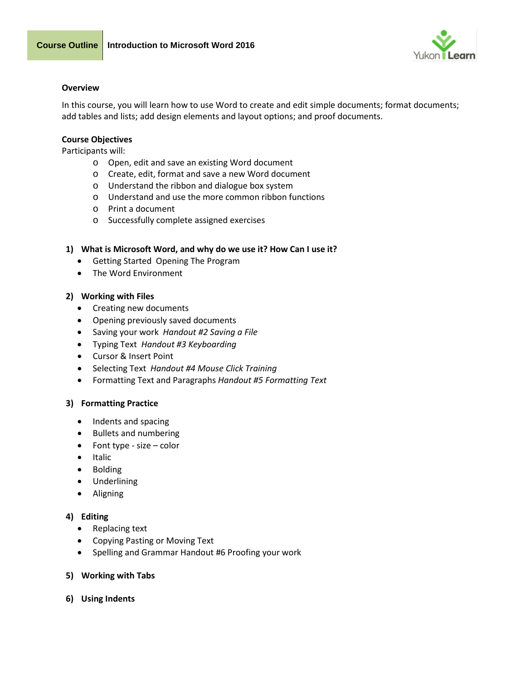



#### **Overview**

In this course, you will learn how to use Word to create and edit simple documents; format documents; add tables and lists; add design elements and layout options; and proof documents.

### **Course Objectives**

Participants will:

- o Open, edit and save an existing Word document
- o Create, edit, format and save a new Word document
- o Understand the ribbon and dialogue box system
- o Understand and use the more common ribbon functions
- o Print a document
- o Successfully complete assigned exercises

### **1) What is Microsoft Word, and why do we use it? How Can I use it?**

- Getting Started Opening The Program
- The Word Environment

### **2) Working with Files**

- Creating new documents
- Opening previously saved documents
- Saving your work *Handout #2 Saving a File*
- Typing Text *Handout #3 Keyboarding*
- Cursor & Insert Point
- Selecting Text *Handout #4 Mouse Click Training*
- Formatting Text and Paragraphs *Handout #5 Formatting Text*

# **3) Formatting Practice**

- Indents and spacing
- Bullets and numbering
- Font type size color
- Italic
- Bolding
- Underlining
- Aligning

# **4) Editing**

- Replacing text
- Copying Pasting or Moving Text
- Spelling and Grammar Handout #6 Proofing your work

#### **5) Working with Tabs**

**6) Using Indents**